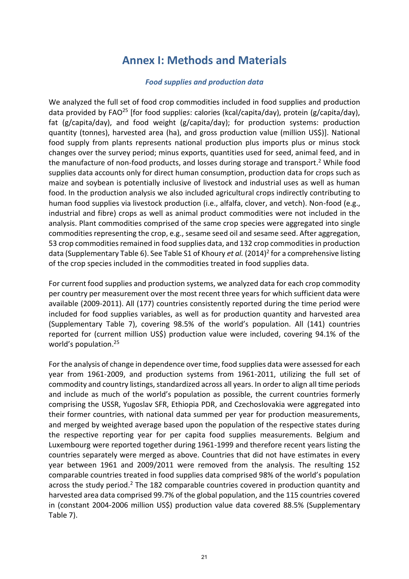# **Annex I: Methods and Materials**

#### *Food supplies and production data*

We analyzed the full set of food crop commodities included in food supplies and production data provided by FAO<sup>25</sup> [for food supplies: calories (kcal/capita/day), protein (g/capita/day), fat (g/capita/day), and food weight (g/capita/day); for production systems: production quantity (tonnes), harvested area (ha), and gross production value (million US\$)]. National food supply from plants represents national production plus imports plus or minus stock changes over the survey period; minus exports, quantities used for seed, animal feed, and in the manufacture of non-food products, and losses during storage and transport. <sup>2</sup> While food supplies data accounts only for direct human consumption, production data for crops such as maize and soybean is potentially inclusive of livestock and industrial uses as well as human food. In the production analysis we also included agricultural crops indirectly contributing to human food supplies via livestock production (i.e., alfalfa, clover, and vetch). Non-food (e.g., industrial and fibre) crops as well as animal product commodities were not included in the analysis. Plant commodities comprised of the same crop species were aggregated into single commodities representing the crop, e.g., sesame seed oil and sesame seed. After aggregation, 53 crop commodities remained in food supplies data, and 132 crop commodities in production data (Supplementary Table 6). See Table S1 of Khoury *et al.* (2014)<sup>2</sup> for a comprehensive listing of the crop species included in the commodities treated in food supplies data.

For current food supplies and production systems, we analyzed data for each crop commodity per country per measurement over the most recent three years for which sufficient data were available (2009-2011). All (177) countries consistently reported during the time period were included for food supplies variables, as well as for production quantity and harvested area (Supplementary Table 7), covering 98.5% of the world's population. All (141) countries reported for (current million US\$) production value were included, covering 94.1% of the world's population. 25

For the analysis of change in dependence over time, food supplies data were assessed for each year from 1961-2009, and production systems from 1961-2011, utilizing the full set of commodity and country listings, standardized across all years. In order to align all time periods and include as much of the world's population as possible, the current countries formerly comprising the USSR, Yugoslav SFR, Ethiopia PDR, and Czechoslovakia were aggregated into their former countries, with national data summed per year for production measurements, and merged by weighted average based upon the population of the respective states during the respective reporting year for per capita food supplies measurements. Belgium and Luxembourg were reported together during 1961-1999 and therefore recent years listing the countries separately were merged as above. Countries that did not have estimates in every year between 1961 and 2009/2011 were removed from the analysis. The resulting 152 comparable countries treated in food supplies data comprised 98% of the world's population across the study period.<sup>2</sup> The 182 comparable countries covered in production quantity and harvested area data comprised 99.7% of the global population, and the 115 countries covered in (constant 2004-2006 million US\$) production value data covered 88.5% (Supplementary Table 7).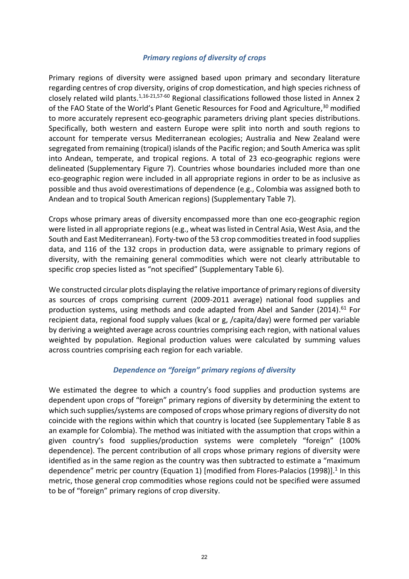### *Primary regions of diversity of crops*

Primary regions of diversity were assigned based upon primary and secondary literature regarding centres of crop diversity, origins of crop domestication, and high species richness of closely related wild plants. $1,16-21,57-60$  Regional classifications followed those listed in Annex 2 of the FAO State of the World's Plant Genetic Resources for Food and Agriculture,<sup>30</sup> modified to more accurately represent eco-geographic parameters driving plant species distributions. Specifically, both western and eastern Europe were split into north and south regions to account for temperate versus Mediterranean ecologies; Australia and New Zealand were segregated from remaining (tropical) islands of the Pacific region; and South America was split into Andean, temperate, and tropical regions. A total of 23 eco-geographic regions were delineated (Supplementary Figure 7). Countries whose boundaries included more than one eco-geographic region were included in all appropriate regions in order to be as inclusive as possible and thus avoid overestimations of dependence (e.g., Colombia was assigned both to Andean and to tropical South American regions) (Supplementary Table 7).

Crops whose primary areas of diversity encompassed more than one eco-geographic region were listed in all appropriate regions (e.g., wheat was listed in Central Asia, West Asia, and the South and East Mediterranean). Forty-two of the 53 crop commodities treated in food supplies data, and 116 of the 132 crops in production data, were assignable to primary regions of diversity, with the remaining general commodities which were not clearly attributable to specific crop species listed as "not specified" (Supplementary Table 6).

We constructed circular plots displaying the relative importance of primary regions of diversity as sources of crops comprising current (2009-2011 average) national food supplies and production systems, using methods and code adapted from Abel and Sander (2014). $61$  For recipient data, regional food supply values (kcal or g, /capita/day) were formed per variable by deriving a weighted average across countries comprising each region, with national values weighted by population. Regional production values were calculated by summing values across countries comprising each region for each variable.

## *Dependence on "foreign" primary regions of diversity*

We estimated the degree to which a country's food supplies and production systems are dependent upon crops of "foreign" primary regions of diversity by determining the extent to which such supplies/systems are composed of crops whose primary regions of diversity do not coincide with the regions within which that country is located (see Supplementary Table 8 as an example for Colombia). The method was initiated with the assumption that crops within a given country's food supplies/production systems were completely "foreign" (100% dependence). The percent contribution of all crops whose primary regions of diversity were identified as in the same region as the country was then subtracted to estimate a "maximum dependence" metric per country (Equation 1) [modified from Flores-Palacios (1998)].<sup>1</sup> In this metric, those general crop commodities whose regions could not be specified were assumed to be of "foreign" primary regions of crop diversity.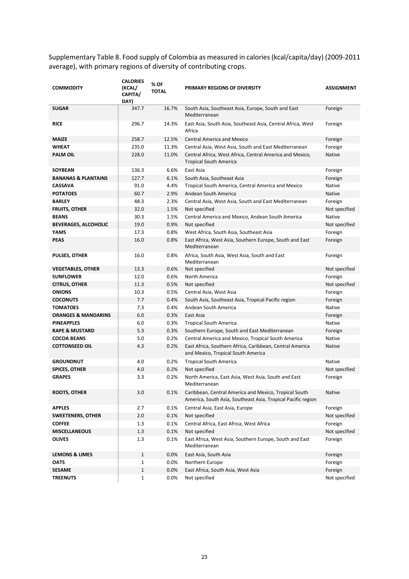Supplementary Table 8. Food supply of Colombia as measured in calories (kcal/capita/day) (2009-2011 average), with primary regions of diversity of contributing crops.

| <b>COMMODITY</b>               | <b>CALORIES</b><br>(KCAL/<br>CAPITA/<br>DAY) | % OF<br><b>TOTAL</b> | <b>PRIMARY REGIONS OF DIVERSITY</b>                                                                                   | <b>ASSIGNMENT</b> |
|--------------------------------|----------------------------------------------|----------------------|-----------------------------------------------------------------------------------------------------------------------|-------------------|
| <b>SUGAR</b>                   | 347.7                                        | 16.7%                | South Asia, Southeast Asia, Europe, South and East<br>Mediterranean                                                   | Foreign           |
| <b>RICE</b>                    | 296.7                                        | 14.3%                | East Asia, South Asia, Southeast Asia, Central Africa, West<br>Africa                                                 | Foreign           |
| <b>MAIZE</b>                   | 258.7                                        | 12.5%                | <b>Central America and Mexico</b>                                                                                     | Foreign           |
| <b>WHEAT</b>                   | 235.0                                        | 11.3%                | Central Asia, West Asia, South and East Mediterranean                                                                 | Foreign           |
| PALM OIL                       | 228.0                                        | 11.0%                | Central Africa, West Africa, Central America and Mexico,<br><b>Tropical South America</b>                             | Native            |
| <b>SOYBEAN</b>                 | 136.3                                        | 6.6%                 | East Asia                                                                                                             | Foreign           |
| <b>BANANAS &amp; PLANTAINS</b> | 127.7                                        | 6.1%                 | South Asia, Southeast Asia                                                                                            | Foreign           |
| <b>CASSAVA</b>                 | 91.0                                         | 4.4%                 | Tropical South America, Central America and Mexico                                                                    | Native            |
| <b>POTATOES</b>                | 60.7                                         | 2.9%                 | Andean South America                                                                                                  | Native            |
| <b>BARLEY</b>                  | 48.3                                         | 2.3%                 | Central Asia, West Asia, South and East Mediterranean                                                                 | Foreign           |
| <b>FRUITS, OTHER</b>           | 32.0                                         | 1.5%                 | Not specified                                                                                                         | Not specified     |
| <b>BEANS</b>                   | 30.3                                         | 1.5%                 | Central America and Mexico, Andean South America                                                                      | Native            |
| <b>BEVERAGES, ALCOHOLIC</b>    | 19.0                                         | 0.9%                 | Not specified                                                                                                         | Not specified     |
| YAMS                           | 17.3                                         | 0.8%                 | West Africa, South Asia, Southeast Asia                                                                               | Foreign           |
| <b>PEAS</b>                    | 16.0                                         | 0.8%                 | East Africa, West Asia, Southern Europe, South and East<br>Mediterranean                                              | Foreign           |
| <b>PULSES, OTHER</b>           | 16.0                                         | 0.8%                 | Africa, South Asia, West Asia, South and East<br>Mediterranean                                                        | Foreign           |
| <b>VEGETABLES, OTHER</b>       | 13.3                                         | 0.6%                 | Not specified                                                                                                         | Not specified     |
| <b>SUNFLOWER</b>               | 12.0                                         | 0.6%                 | North America                                                                                                         | Foreign           |
| <b>CITRUS, OTHER</b>           | 11.3                                         | 0.5%                 | Not specified                                                                                                         | Not specified     |
| <b>ONIONS</b>                  | 10.3                                         | 0.5%                 | Central Asia, West Asia                                                                                               | Foreign           |
| <b>COCONUTS</b>                | 7.7                                          | 0.4%                 | South Asia, Southeast Asia, Tropical Pacific region                                                                   | Foreign           |
| <b>TOMATOES</b>                | 7.3                                          | 0.4%                 | Andean South America                                                                                                  | Native            |
| <b>ORANGES &amp; MANDARINS</b> | 6.0                                          | 0.3%                 | East Asia                                                                                                             | Foreign           |
| <b>PINEAPPLES</b>              | 6.0                                          | 0.3%                 | <b>Tropical South America</b>                                                                                         | Native            |
| <b>RAPE &amp; MUSTARD</b>      | 5.3                                          | 0.3%                 | Southern Europe, South and East Mediterranean                                                                         | Foreign           |
| <b>COCOA BEANS</b>             | 5.0                                          | 0.2%                 | Central America and Mexico, Tropical South America                                                                    | Native            |
| <b>COTTONSEED OIL</b>          | 4.3                                          | 0.2%                 | East Africa, Southern Africa, Caribbean, Central America<br>and Mexico, Tropical South America                        | Native            |
| <b>GROUNDNUT</b>               | 4.0                                          | 0.2%                 | <b>Tropical South America</b>                                                                                         | Native            |
| <b>SPICES, OTHER</b>           | 4.0                                          | 0.2%                 | Not specified                                                                                                         | Not specified     |
| <b>GRAPES</b>                  | 3.3                                          | 0.2%                 | North America, East Asia, West Asia, South and East<br>Mediterranean                                                  | Foreign           |
| <b>ROOTS, OTHER</b>            | 3.0                                          | 0.1%                 | Caribbean, Central America and Mexico, Tropical South<br>America, South Asia, Southeast Asia, Tropical Pacific region | Native            |
| <b>APPLES</b>                  | 2.7                                          | 0.1%                 | Central Asia, East Asia, Europe                                                                                       | Foreign           |
| <b>SWEETENERS, OTHER</b>       | 2.0                                          | 0.1%                 | Not specified                                                                                                         | Not specified     |
| <b>COFFEE</b>                  | 1.3                                          | 0.1%                 | Central Africa, East Africa, West Africa                                                                              | Foreign           |
| <b>MISCELLANEOUS</b>           | 1.3                                          | 0.1%                 | Not specified                                                                                                         | Not specified     |
| <b>OLIVES</b>                  | 1.3                                          | 0.1%                 | East Africa, West Asia, Southern Europe, South and East<br>Mediterranean                                              | Foreign           |
| <b>LEMONS &amp; LIMES</b>      | $\mathbf{1}$                                 | 0.0%                 | East Asia, South Asia                                                                                                 | Foreign           |
| OATS                           | $\mathbf{1}$                                 | 0.0%                 | Northern Europe                                                                                                       | Foreign           |
| <b>SESAME</b>                  | $\mathbf{1}$                                 | 0.0%                 | East Africa, South Asia, West Asia                                                                                    | Foreign           |
| <b>TREENUTS</b>                | $\mathbf{1}$                                 | 0.0%                 | Not specified                                                                                                         | Not specified     |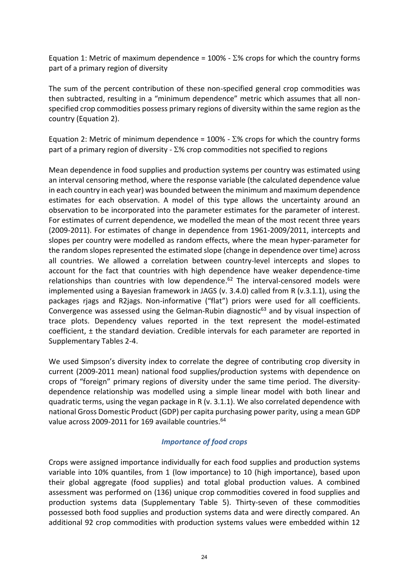Equation 1: Metric of maximum dependence =  $100\%$  -  $\Sigma\%$  crops for which the country forms part of a primary region of diversity

The sum of the percent contribution of these non-specified general crop commodities was then subtracted, resulting in a "minimum dependence" metric which assumes that all nonspecified crop commodities possess primary regions of diversity within the same region as the country (Equation 2).

Equation 2: Metric of minimum dependence =  $100\%$  -  $\Sigma\%$  crops for which the country forms part of a primary region of diversity -  $\Sigma$ % crop commodities not specified to regions

Mean dependence in food supplies and production systems per country was estimated using an interval censoring method, where the response variable (the calculated dependence value in each country in each year) was bounded between the minimum and maximum dependence estimates for each observation. A model of this type allows the uncertainty around an observation to be incorporated into the parameter estimates for the parameter of interest. For estimates of current dependence, we modelled the mean of the most recent three years (2009-2011). For estimates of change in dependence from 1961-2009/2011, intercepts and slopes per country were modelled as random effects, where the mean hyper-parameter for the random slopes represented the estimated slope (change in dependence over time) across all countries. We allowed a correlation between country-level intercepts and slopes to account for the fact that countries with high dependence have weaker dependence-time relationships than countries with low dependence.<sup>62</sup> The interval-censored models were implemented using a Bayesian framework in JAGS (v. 3.4.0) called from R (v.3.1.1), using the packages rjags and R2jags. Non-informative ("flat") priors were used for all coefficients. Convergence was assessed using the Gelman-Rubin diagnostic<sup>63</sup> and by visual inspection of trace plots. Dependency values reported in the text represent the model-estimated coefficient,  $\pm$  the standard deviation. Credible intervals for each parameter are reported in Supplementary Tables 2-4.

We used Simpson's diversity index to correlate the degree of contributing crop diversity in current (2009-2011 mean) national food supplies/production systems with dependence on crops of "foreign" primary regions of diversity under the same time period. The diversitydependence relationship was modelled using a simple linear model with both linear and quadratic terms, using the vegan package in R (v. 3.1.1). We also correlated dependence with national Gross Domestic Product (GDP) per capita purchasing power parity, using a mean GDP value across 2009-2011 for 169 available countries.<sup>64</sup>

## *Importance of food crops*

Crops were assigned importance individually for each food supplies and production systems variable into 10% quantiles, from 1 (low importance) to 10 (high importance), based upon their global aggregate (food supplies) and total global production values. A combined assessment was performed on (136) unique crop commodities covered in food supplies and production systems data (Supplementary Table 5). Thirty-seven of these commodities possessed both food supplies and production systems data and were directly compared. An additional 92 crop commodities with production systems values were embedded within 12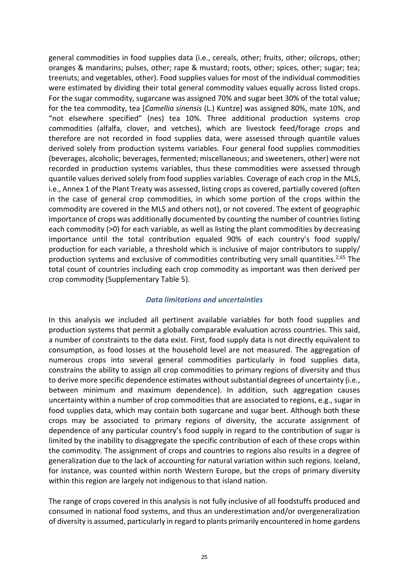general commodities in food supplies data (i.e., cereals, other; fruits, other; oilcrops, other; oranges & mandarins; pulses, other; rape & mustard; roots, other; spices, other; sugar; tea; treenuts; and vegetables, other). Food supplies values for most of the individual commodities were estimated by dividing their total general commodity values equally across listed crops. For the sugar commodity, sugarcane was assigned 70% and sugar beet 30% of the total value; for the tea commodity, tea [*Camellia sinensis* (L.) Kuntze] was assigned 80%, mate 10%, and "not elsewhere specified" (nes) tea 10%. Three additional production systems crop commodities (alfalfa, clover, and vetches), which are livestock feed/forage crops and therefore are not recorded in food supplies data, were assessed through quantile values derived solely from production systems variables. Four general food supplies commodities (beverages, alcoholic; beverages, fermented; miscellaneous; and sweeteners, other) were not recorded in production systems variables, thus these commodities were assessed through quantile values derived solely from food supplies variables. Coverage of each crop in the MLS, i.e., Annex 1 of the Plant Treaty was assessed, listing crops as covered, partially covered (often in the case of general crop commodities, in which some portion of the crops within the commodity are covered in the MLS and others not), or not covered. The extent of geographic importance of crops was additionally documented by counting the number of countries listing each commodity (>0) for each variable, as well as listing the plant commodities by decreasing importance until the total contribution equaled 90% of each country's food supply/ production for each variable, a threshold which is inclusive of major contributors to supply/ production systems and exclusive of commodities contributing very small quantities.<sup>2,65</sup> The total count of countries including each crop commodity as important was then derived per crop commodity (Supplementary Table 5).

#### *Data limitations and uncertainties*

In this analysis we included all pertinent available variables for both food supplies and production systems that permit a globally comparable evaluation across countries. This said, a number of constraints to the data exist. First, food supply data is not directly equivalent to consumption, as food losses at the household level are not measured. The aggregation of numerous crops into several general commodities particularly in food supplies data, constrains the ability to assign all crop commodities to primary regions of diversity and thus to derive more specific dependence estimates without substantial degrees of uncertainty (i.e., between minimum and maximum dependence). In addition, such aggregation causes uncertainty within a number of crop commodities that are associated to regions, e.g., sugar in food supplies data, which may contain both sugarcane and sugar beet. Although both these crops may be associated to primary regions of diversity, the accurate assignment of dependence of any particular country's food supply in regard to the contribution of sugar is limited by the inability to disaggregate the specific contribution of each of these crops within the commodity. The assignment of crops and countries to regions also results in a degree of generalization due to the lack of accounting for natural variation within such regions. Iceland, for instance, was counted within north Western Europe, but the crops of primary diversity within this region are largely not indigenous to that island nation.

The range of crops covered in this analysis is not fully inclusive of all foodstuffs produced and consumed in national food systems, and thus an underestimation and/or overgeneralization of diversity is assumed, particularly in regard to plants primarily encountered in home gardens